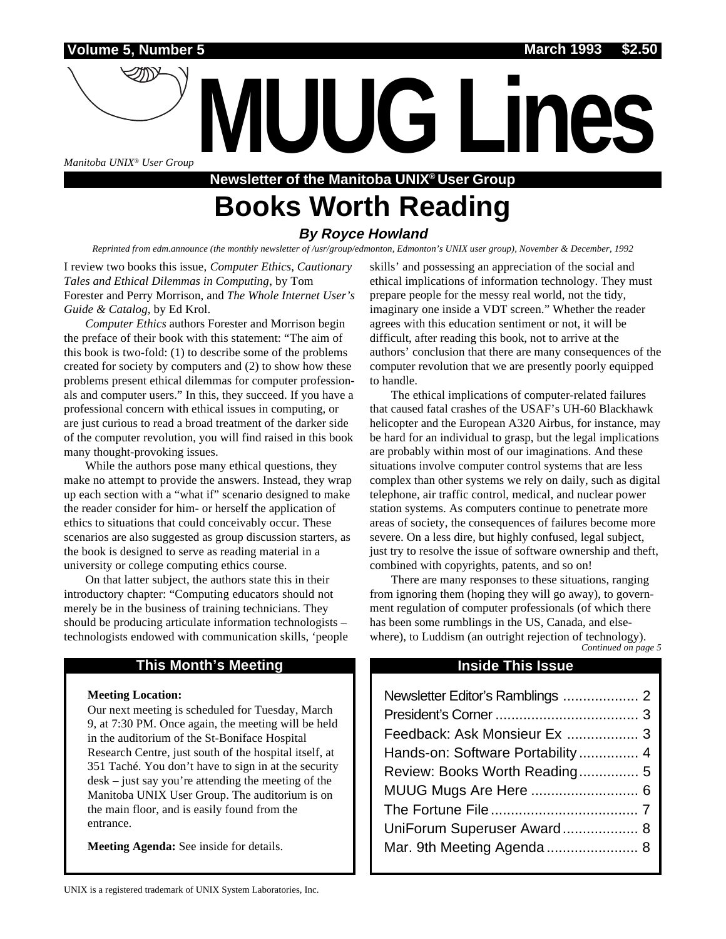*Manitoba UNIX® User Group*

**Newsletter of the Manitoba UNIX® User Group Books Worth Reading**

**MUUG Lines**

#### **By Royce Howland**

*Reprinted from edm.announce (the monthly newsletter of /usr/group/edmonton, Edmonton's UNIX user group), November & December, 1992*

I review two books this issue, *Computer Ethics, Cautionary Tales and Ethical Dilemmas in Computing*, by Tom Forester and Perry Morrison, and *The Whole Internet User's Guide & Catalog*, by Ed Krol.

*Computer Ethics* authors Forester and Morrison begin the preface of their book with this statement: "The aim of this book is two-fold: (1) to describe some of the problems created for society by computers and (2) to show how these problems present ethical dilemmas for computer professionals and computer users." In this, they succeed. If you have a professional concern with ethical issues in computing, or are just curious to read a broad treatment of the darker side of the computer revolution, you will find raised in this book many thought-provoking issues.

While the authors pose many ethical questions, they make no attempt to provide the answers. Instead, they wrap up each section with a "what if" scenario designed to make the reader consider for him- or herself the application of ethics to situations that could conceivably occur. These scenarios are also suggested as group discussion starters, as the book is designed to serve as reading material in a university or college computing ethics course.

On that latter subject, the authors state this in their introductory chapter: "Computing educators should not merely be in the business of training technicians. They should be producing articulate information technologists – technologists endowed with communication skills, 'people

#### **This Month's Meeting Inside This Issue**

#### **Meeting Location:**

Our next meeting is scheduled for Tuesday, March 9, at 7:30 PM. Once again, the meeting will be held in the auditorium of the St-Boniface Hospital Research Centre, just south of the hospital itself, at 351 Taché. You don't have to sign in at the security desk – just say you're attending the meeting of the Manitoba UNIX User Group. The auditorium is on the main floor, and is easily found from the entrance.

**Meeting Agenda:** See inside for details.

skills' and possessing an appreciation of the social and ethical implications of information technology. They must prepare people for the messy real world, not the tidy, imaginary one inside a VDT screen." Whether the reader agrees with this education sentiment or not, it will be difficult, after reading this book, not to arrive at the authors' conclusion that there are many consequences of the computer revolution that we are presently poorly equipped to handle.

The ethical implications of computer-related failures that caused fatal crashes of the USAF's UH-60 Blackhawk helicopter and the European A320 Airbus, for instance, may be hard for an individual to grasp, but the legal implications are probably within most of our imaginations. And these situations involve computer control systems that are less complex than other systems we rely on daily, such as digital telephone, air traffic control, medical, and nuclear power station systems. As computers continue to penetrate more areas of society, the consequences of failures become more severe. On a less dire, but highly confused, legal subject, just try to resolve the issue of software ownership and theft, combined with copyrights, patents, and so on!

There are many responses to these situations, ranging from ignoring them (hoping they will go away), to government regulation of computer professionals (of which there has been some rumblings in the US, Canada, and elsewhere), to Luddism (an outright rejection of technology).

#### *Continued on page 5*

| Feedback: Ask Monsieur Ex  3     |
|----------------------------------|
| Hands-on: Software Portability 4 |
| Review: Books Worth Reading 5    |
|                                  |
|                                  |
| UniForum Superuser Award 8       |
|                                  |
|                                  |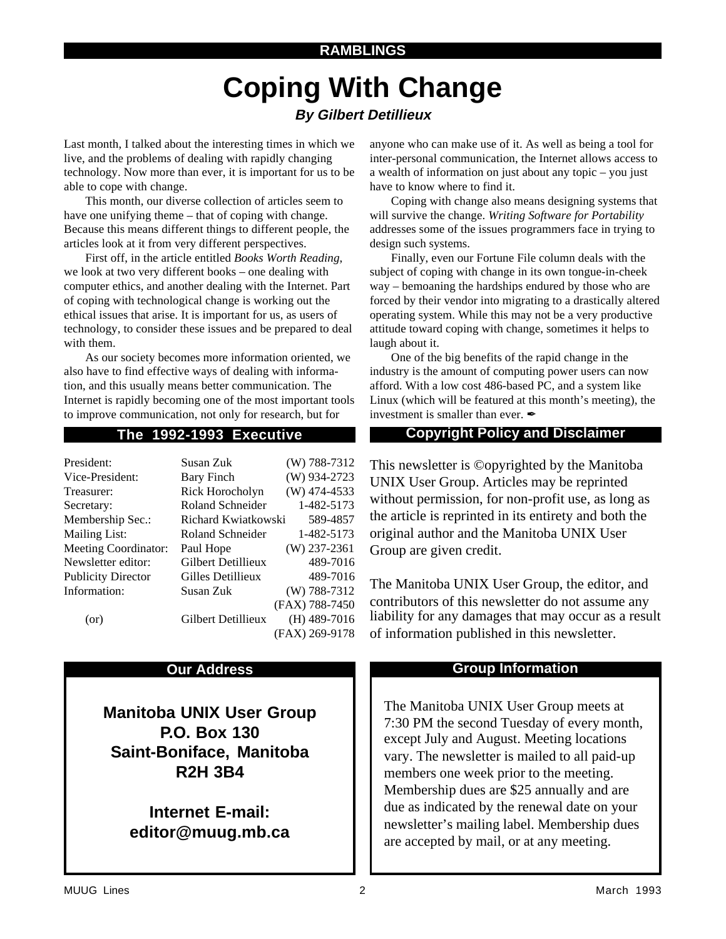#### **RAMBLINGS**

## **Coping With Change By Gilbert Detillieux**

Last month, I talked about the interesting times in which we live, and the problems of dealing with rapidly changing technology. Now more than ever, it is important for us to be able to cope with change.

This month, our diverse collection of articles seem to have one unifying theme – that of coping with change. Because this means different things to different people, the articles look at it from very different perspectives.

First off, in the article entitled *Books Worth Reading*, we look at two very different books – one dealing with computer ethics, and another dealing with the Internet. Part of coping with technological change is working out the ethical issues that arise. It is important for us, as users of technology, to consider these issues and be prepared to deal with them.

As our society becomes more information oriented, we also have to find effective ways of dealing with information, and this usually means better communication. The Internet is rapidly becoming one of the most important tools to improve communication, not only for research, but for

| President:                  | Susan Zuk           | $(W)$ 788-7312 |
|-----------------------------|---------------------|----------------|
| Vice-President:             | Bary Finch          | (W) 934-2723   |
| Treasurer:                  | Rick Horocholyn     | $(W)$ 474-4533 |
| Secretary:                  | Roland Schneider    | 1-482-5173     |
| Membership Sec.:            | Richard Kwiatkowski | 589-4857       |
| Mailing List:               | Roland Schneider    | 1-482-5173     |
| <b>Meeting Coordinator:</b> | Paul Hope           | $(W)$ 237-2361 |
| Newsletter editor:          | Gilbert Detillieux  | 489-7016       |
| <b>Publicity Director</b>   | Gilles Detillieux   | 489-7016       |
| Information:                | Susan Zuk           | $(W)$ 788-7312 |
|                             |                     | (FAX) 788-7450 |
| (or)                        | Gilbert Detillieux  | $(H)$ 489-7016 |
|                             |                     | (FAX) 269-9178 |

**Manitoba UNIX User Group P.O. Box 130 Saint-Boniface, Manitoba R2H 3B4**

> **Internet E-mail: editor@muug.mb.ca**

anyone who can make use of it. As well as being a tool for inter-personal communication, the Internet allows access to a wealth of information on just about any topic – you just have to know where to find it.

Coping with change also means designing systems that will survive the change. *Writing Software for Portability* addresses some of the issues programmers face in trying to design such systems.

Finally, even our Fortune File column deals with the subject of coping with change in its own tongue-in-cheek way – bemoaning the hardships endured by those who are forced by their vendor into migrating to a drastically altered operating system. While this may not be a very productive attitude toward coping with change, sometimes it helps to laugh about it.

One of the big benefits of the rapid change in the industry is the amount of computing power users can now afford. With a low cost 486-based PC, and a system like Linux (which will be featured at this month's meeting), the investment is smaller than ever.  $\mathscr I$ 

#### **The 1992-1993 Executive Copyright Policy and Disclaimer**

This newsletter is ©opyrighted by the Manitoba UNIX User Group. Articles may be reprinted without permission, for non-profit use, as long as the article is reprinted in its entirety and both the original author and the Manitoba UNIX User Group are given credit.

The Manitoba UNIX User Group, the editor, and contributors of this newsletter do not assume any liability for any damages that may occur as a result of information published in this newsletter.

#### **Our Address Community Community Community Community Community Community Community Community Community Community**

The Manitoba UNIX User Group meets at 7:30 PM the second Tuesday of every month, except July and August. Meeting locations vary. The newsletter is mailed to all paid-up members one week prior to the meeting. Membership dues are \$25 annually and are due as indicated by the renewal date on your newsletter's mailing label. Membership dues are accepted by mail, or at any meeting.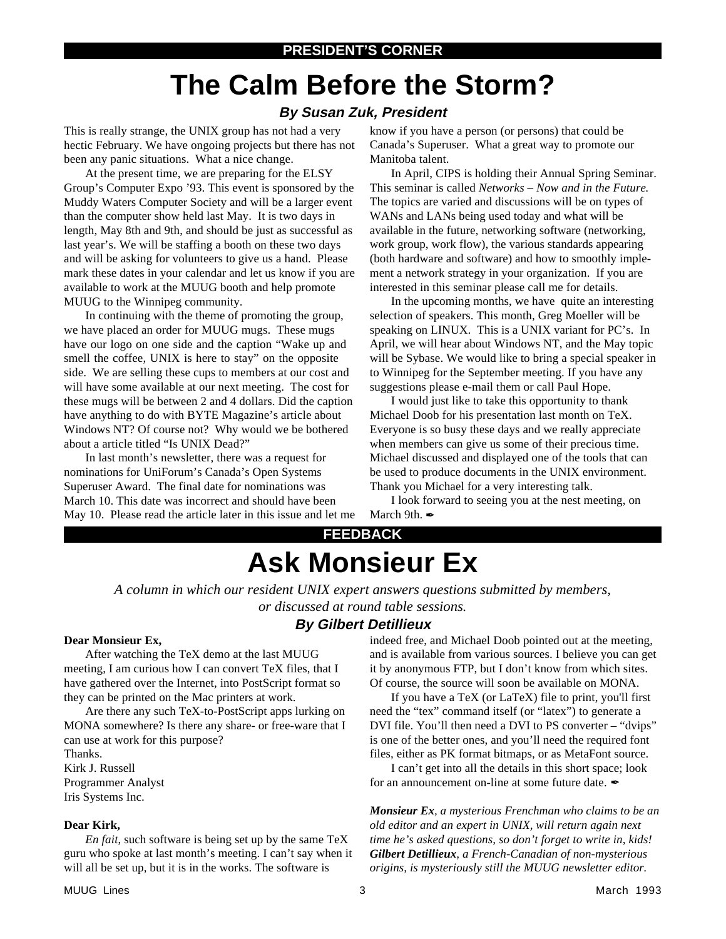# **The Calm Before the Storm?**

#### **By Susan Zuk, President**

This is really strange, the UNIX group has not had a very hectic February. We have ongoing projects but there has not been any panic situations. What a nice change.

At the present time, we are preparing for the ELSY Group's Computer Expo '93. This event is sponsored by the Muddy Waters Computer Society and will be a larger event than the computer show held last May. It is two days in length, May 8th and 9th, and should be just as successful as last year's. We will be staffing a booth on these two days and will be asking for volunteers to give us a hand. Please mark these dates in your calendar and let us know if you are available to work at the MUUG booth and help promote MUUG to the Winnipeg community.

In continuing with the theme of promoting the group, we have placed an order for MUUG mugs. These mugs have our logo on one side and the caption "Wake up and smell the coffee, UNIX is here to stay" on the opposite side. We are selling these cups to members at our cost and will have some available at our next meeting. The cost for these mugs will be between 2 and 4 dollars. Did the caption have anything to do with BYTE Magazine's article about Windows NT? Of course not? Why would we be bothered about a article titled "Is UNIX Dead?"

In last month's newsletter, there was a request for nominations for UniForum's Canada's Open Systems Superuser Award. The final date for nominations was March 10. This date was incorrect and should have been May 10. Please read the article later in this issue and let me know if you have a person (or persons) that could be Canada's Superuser. What a great way to promote our Manitoba talent.

In April, CIPS is holding their Annual Spring Seminar. This seminar is called *Networks – Now and in the Future*. The topics are varied and discussions will be on types of WANs and LANs being used today and what will be available in the future, networking software (networking, work group, work flow), the various standards appearing (both hardware and software) and how to smoothly implement a network strategy in your organization. If you are interested in this seminar please call me for details.

In the upcoming months, we have quite an interesting selection of speakers. This month, Greg Moeller will be speaking on LINUX. This is a UNIX variant for PC's. In April, we will hear about Windows NT, and the May topic will be Sybase. We would like to bring a special speaker in to Winnipeg for the September meeting. If you have any suggestions please e-mail them or call Paul Hope.

I would just like to take this opportunity to thank Michael Doob for his presentation last month on TeX. Everyone is so busy these days and we really appreciate when members can give us some of their precious time. Michael discussed and displayed one of the tools that can be used to produce documents in the UNIX environment. Thank you Michael for a very interesting talk.

I look forward to seeing you at the nest meeting, on March 9th.

## **FEEDBACK Ask Monsieur Ex**

*A column in which our resident UNIX expert answers questions submitted by members, or discussed at round table sessions.*

### **By Gilbert Detillieux**

#### **Dear Monsieur Ex,**

After watching the TeX demo at the last MUUG meeting, I am curious how I can convert TeX files, that I have gathered over the Internet, into PostScript format so they can be printed on the Mac printers at work.

Are there any such TeX-to-PostScript apps lurking on MONA somewhere? Is there any share- or free-ware that I can use at work for this purpose?

Thanks. Kirk J. Russell Programmer Analyst Iris Systems Inc.

#### **Dear Kirk,**

*En fait*, such software is being set up by the same TeX guru who spoke at last month's meeting. I can't say when it will all be set up, but it is in the works. The software is

indeed free, and Michael Doob pointed out at the meeting, and is available from various sources. I believe you can get it by anonymous FTP, but I don't know from which sites. Of course, the source will soon be available on MONA.

If you have a TeX (or LaTeX) file to print, you'll first need the "tex" command itself (or "latex") to generate a DVI file. You'll then need a DVI to PS converter – "dvips" is one of the better ones, and you'll need the required font files, either as PK format bitmaps, or as MetaFont source.

I can't get into all the details in this short space; look for an announcement on-line at some future date.

*Monsieur Ex, a mysterious Frenchman who claims to be an old editor and an expert in UNIX, will return again next time he's asked questions, so don't forget to write in, kids! Gilbert Detillieux, a French-Canadian of non-mysterious origins, is mysteriously still the MUUG newsletter editor.*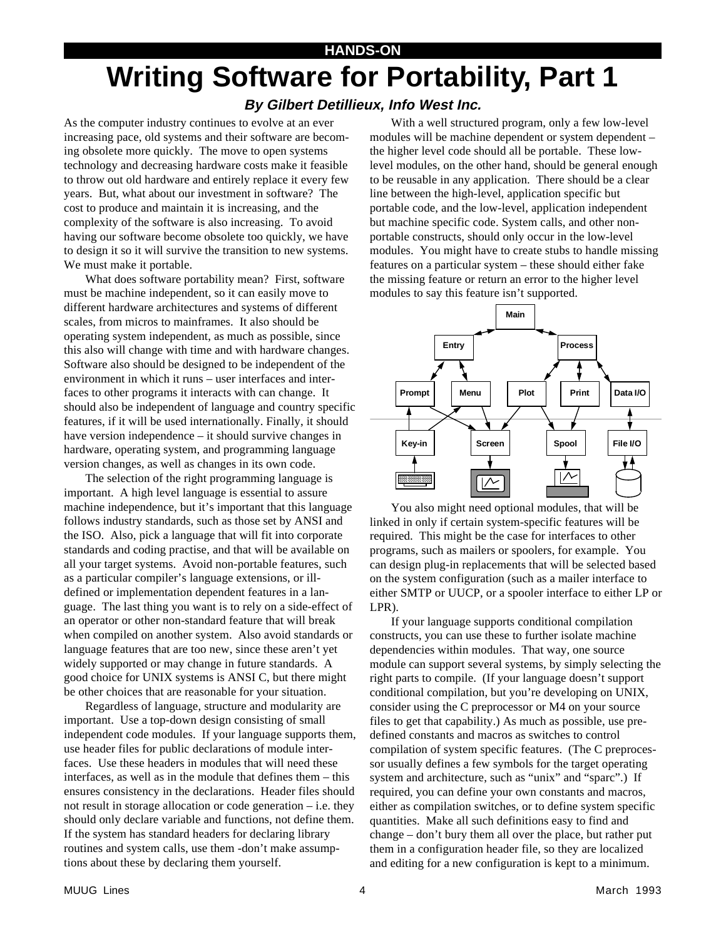#### **HANDS-ON**

# **Writing Software for Portability, Part 1**

### **By Gilbert Detillieux, Info West Inc.**

As the computer industry continues to evolve at an ever increasing pace, old systems and their software are becoming obsolete more quickly. The move to open systems technology and decreasing hardware costs make it feasible to throw out old hardware and entirely replace it every few years. But, what about our investment in software? The cost to produce and maintain it is increasing, and the complexity of the software is also increasing. To avoid having our software become obsolete too quickly, we have to design it so it will survive the transition to new systems. We must make it portable.

What does software portability mean? First, software must be machine independent, so it can easily move to different hardware architectures and systems of different scales, from micros to mainframes. It also should be operating system independent, as much as possible, since this also will change with time and with hardware changes. Software also should be designed to be independent of the environment in which it runs – user interfaces and interfaces to other programs it interacts with can change. It should also be independent of language and country specific features, if it will be used internationally. Finally, it should have version independence – it should survive changes in hardware, operating system, and programming language version changes, as well as changes in its own code.

The selection of the right programming language is important. A high level language is essential to assure machine independence, but it's important that this language follows industry standards, such as those set by ANSI and the ISO. Also, pick a language that will fit into corporate standards and coding practise, and that will be available on all your target systems. Avoid non-portable features, such as a particular compiler's language extensions, or illdefined or implementation dependent features in a language. The last thing you want is to rely on a side-effect of an operator or other non-standard feature that will break when compiled on another system. Also avoid standards or language features that are too new, since these aren't yet widely supported or may change in future standards. A good choice for UNIX systems is ANSI C, but there might be other choices that are reasonable for your situation.

Regardless of language, structure and modularity are important. Use a top-down design consisting of small independent code modules. If your language supports them, use header files for public declarations of module interfaces. Use these headers in modules that will need these interfaces, as well as in the module that defines them – this ensures consistency in the declarations. Header files should not result in storage allocation or code generation – i.e. they should only declare variable and functions, not define them. If the system has standard headers for declaring library routines and system calls, use them -don't make assumptions about these by declaring them yourself.

With a well structured program, only a few low-level modules will be machine dependent or system dependent – the higher level code should all be portable. These lowlevel modules, on the other hand, should be general enough to be reusable in any application. There should be a clear line between the high-level, application specific but portable code, and the low-level, application independent but machine specific code. System calls, and other nonportable constructs, should only occur in the low-level modules. You might have to create stubs to handle missing features on a particular system – these should either fake the missing feature or return an error to the higher level modules to say this feature isn't supported.



You also might need optional modules, that will be linked in only if certain system-specific features will be required. This might be the case for interfaces to other programs, such as mailers or spoolers, for example. You can design plug-in replacements that will be selected based on the system configuration (such as a mailer interface to either SMTP or UUCP, or a spooler interface to either LP or LPR).

If your language supports conditional compilation constructs, you can use these to further isolate machine dependencies within modules. That way, one source module can support several systems, by simply selecting the right parts to compile. (If your language doesn't support conditional compilation, but you're developing on UNIX, consider using the C preprocessor or M4 on your source files to get that capability.) As much as possible, use predefined constants and macros as switches to control compilation of system specific features. (The C preprocessor usually defines a few symbols for the target operating system and architecture, such as "unix" and "sparc".) If required, you can define your own constants and macros, either as compilation switches, or to define system specific quantities. Make all such definitions easy to find and change – don't bury them all over the place, but rather put them in a configuration header file, so they are localized and editing for a new configuration is kept to a minimum.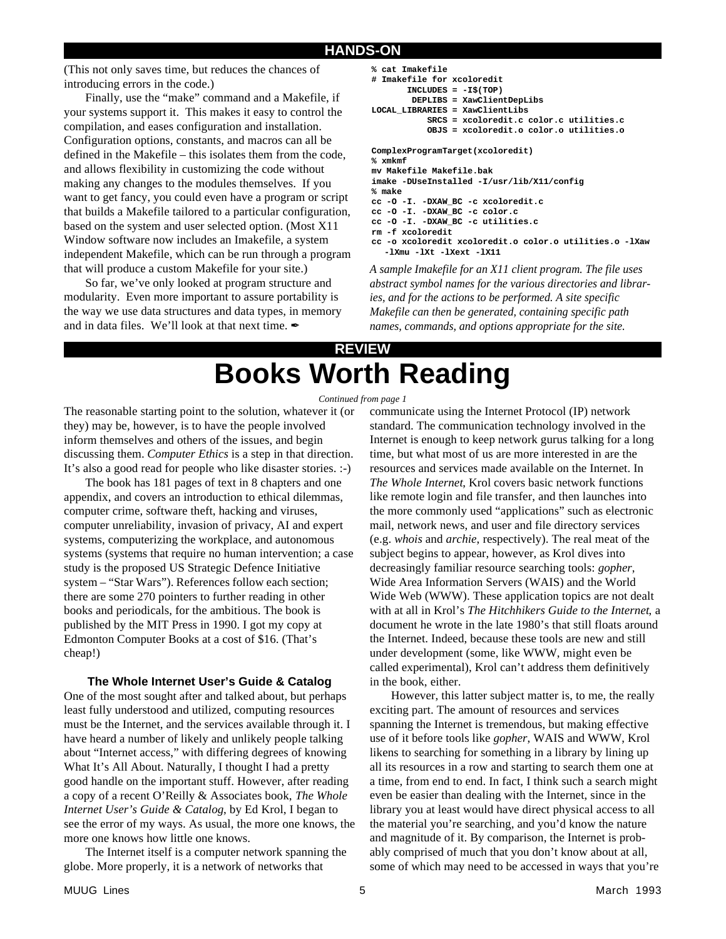#### **HANDS-ON**

(This not only saves time, but reduces the chances of introducing errors in the code.)

Finally, use the "make" command and a Makefile, if your systems support it. This makes it easy to control the compilation, and eases configuration and installation. Configuration options, constants, and macros can all be defined in the Makefile – this isolates them from the code, and allows flexibility in customizing the code without making any changes to the modules themselves. If you want to get fancy, you could even have a program or script that builds a Makefile tailored to a particular configuration, based on the system and user selected option. (Most X11 Window software now includes an Imakefile, a system independent Makefile, which can be run through a program that will produce a custom Makefile for your site.)

So far, we've only looked at program structure and modularity. Even more important to assure portability is the way we use data structures and data types, in memory and in data files. We'll look at that next time.

```
% cat Imakefile
# Imakefile for xcoloredit
        INCLUDES = -I$(TOP)
         DEPLIBS = XawClientDepLibs
LOCAL_LIBRARIES = XawClientLibs
            SRCS = xcoloredit.c color.c utilities.c
            OBJS = xcoloredit.o color.o utilities.o
ComplexProgramTarget(xcoloredit)
% xmkmf
mv Makefile Makefile.bak
imake -DUseInstalled -I/usr/lib/X11/config
% make
cc -O -I. -DXAW_BC -c xcoloredit.c
cc -O -I. -DXAW_BC -c color.c
cc -O -I. -DXAW_BC -c utilities.c
```
**cc -o xcoloredit xcoloredit.o color.o utilities.o -lXaw -lXmu -lXt -lXext -lX11 %** *A sample Imakefile for an X11 client program. The file uses abstract symbol names for the various directories and libraries, and for the actions to be performed. A site specific*

*Makefile can then be generated, containing specific path names, commands, and options appropriate for the site.*

### **REVIEW Books Worth Reading**

**rm -f xcoloredit**

#### *Continued from page 1*

The reasonable starting point to the solution, whatever it (or they) may be, however, is to have the people involved inform themselves and others of the issues, and begin discussing them. *Computer Ethics* is a step in that direction. It's also a good read for people who like disaster stories. :-)

The book has 181 pages of text in 8 chapters and one appendix, and covers an introduction to ethical dilemmas, computer crime, software theft, hacking and viruses, computer unreliability, invasion of privacy, AI and expert systems, computerizing the workplace, and autonomous systems (systems that require no human intervention; a case study is the proposed US Strategic Defence Initiative system – "Star Wars"). References follow each section; there are some 270 pointers to further reading in other books and periodicals, for the ambitious. The book is published by the MIT Press in 1990. I got my copy at Edmonton Computer Books at a cost of \$16. (That's cheap!)

#### **The Whole Internet User's Guide & Catalog**

One of the most sought after and talked about, but perhaps least fully understood and utilized, computing resources must be the Internet, and the services available through it. I have heard a number of likely and unlikely people talking about "Internet access," with differing degrees of knowing What It's All About. Naturally, I thought I had a pretty good handle on the important stuff. However, after reading a copy of a recent O'Reilly & Associates book, *The Whole Internet User's Guide & Catalog*, by Ed Krol, I began to see the error of my ways. As usual, the more one knows, the more one knows how little one knows.

The Internet itself is a computer network spanning the globe. More properly, it is a network of networks that

communicate using the Internet Protocol (IP) network standard. The communication technology involved in the Internet is enough to keep network gurus talking for a long time, but what most of us are more interested in are the resources and services made available on the Internet. In *The Whole Internet*, Krol covers basic network functions like remote login and file transfer, and then launches into the more commonly used "applications" such as electronic mail, network news, and user and file directory services (e.g. *whois* and *archie*, respectively). The real meat of the subject begins to appear, however, as Krol dives into decreasingly familiar resource searching tools: *gopher*, Wide Area Information Servers (WAIS) and the World Wide Web (WWW). These application topics are not dealt with at all in Krol's *The Hitchhikers Guide to the Internet*, a document he wrote in the late 1980's that still floats around the Internet. Indeed, because these tools are new and still under development (some, like WWW, might even be called experimental), Krol can't address them definitively in the book, either.

However, this latter subject matter is, to me, the really exciting part. The amount of resources and services spanning the Internet is tremendous, but making effective use of it before tools like *gopher*, WAIS and WWW, Krol likens to searching for something in a library by lining up all its resources in a row and starting to search them one at a time, from end to end. In fact, I think such a search might even be easier than dealing with the Internet, since in the library you at least would have direct physical access to all the material you're searching, and you'd know the nature and magnitude of it. By comparison, the Internet is probably comprised of much that you don't know about at all, some of which may need to be accessed in ways that you're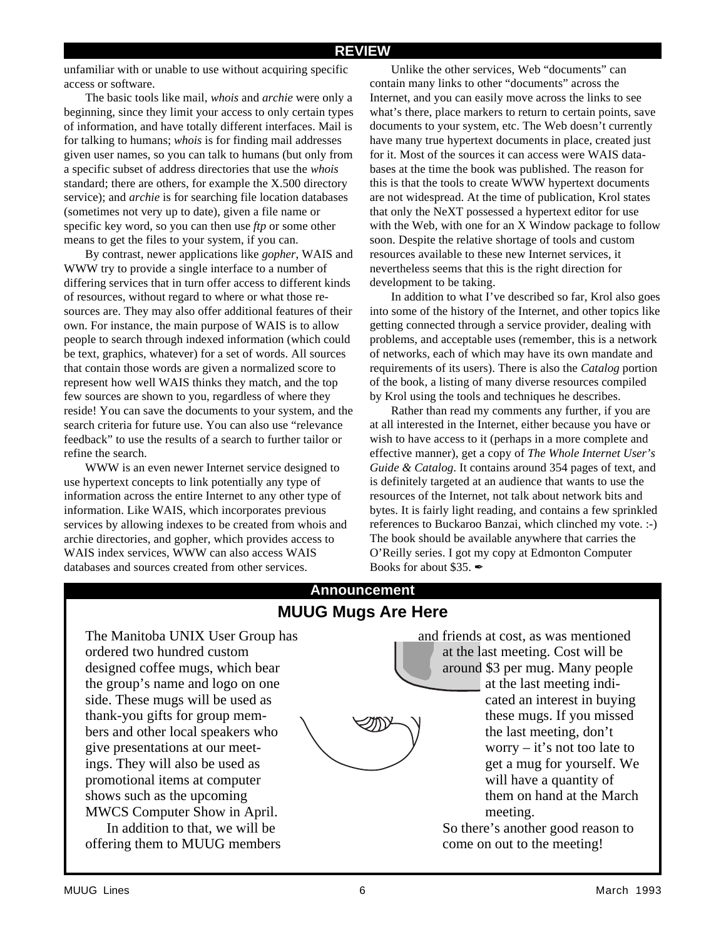#### **REVIEW**

unfamiliar with or unable to use without acquiring specific access or software.

The basic tools like mail, *whois* and *archie* were only a beginning, since they limit your access to only certain types of information, and have totally different interfaces. Mail is for talking to humans; *whois* is for finding mail addresses given user names, so you can talk to humans (but only from a specific subset of address directories that use the *whois* standard; there are others, for example the X.500 directory service); and *archie* is for searching file location databases (sometimes not very up to date), given a file name or specific key word, so you can then use *ftp* or some other means to get the files to your system, if you can.

By contrast, newer applications like *gopher*, WAIS and WWW try to provide a single interface to a number of differing services that in turn offer access to different kinds of resources, without regard to where or what those resources are. They may also offer additional features of their own. For instance, the main purpose of WAIS is to allow people to search through indexed information (which could be text, graphics, whatever) for a set of words. All sources that contain those words are given a normalized score to represent how well WAIS thinks they match, and the top few sources are shown to you, regardless of where they reside! You can save the documents to your system, and the search criteria for future use. You can also use "relevance feedback" to use the results of a search to further tailor or refine the search.

WWW is an even newer Internet service designed to use hypertext concepts to link potentially any type of information across the entire Internet to any other type of information. Like WAIS, which incorporates previous services by allowing indexes to be created from whois and archie directories, and gopher, which provides access to WAIS index services, WWW can also access WAIS databases and sources created from other services.

Unlike the other services, Web "documents" can contain many links to other "documents" across the Internet, and you can easily move across the links to see what's there, place markers to return to certain points, save documents to your system, etc. The Web doesn't currently have many true hypertext documents in place, created just for it. Most of the sources it can access were WAIS databases at the time the book was published. The reason for this is that the tools to create WWW hypertext documents are not widespread. At the time of publication, Krol states that only the NeXT possessed a hypertext editor for use with the Web, with one for an X Window package to follow soon. Despite the relative shortage of tools and custom resources available to these new Internet services, it nevertheless seems that this is the right direction for development to be taking.

In addition to what I've described so far, Krol also goes into some of the history of the Internet, and other topics like getting connected through a service provider, dealing with problems, and acceptable uses (remember, this is a network of networks, each of which may have its own mandate and requirements of its users). There is also the *Catalog* portion of the book, a listing of many diverse resources compiled by Krol using the tools and techniques he describes.

Rather than read my comments any further, if you are at all interested in the Internet, either because you have or wish to have access to it (perhaps in a more complete and effective manner), get a copy of *The Whole Internet User's Guide & Catalog*. It contains around 354 pages of text, and is definitely targeted at an audience that wants to use the resources of the Internet, not talk about network bits and bytes. It is fairly light reading, and contains a few sprinkled references to Buckaroo Banzai, which clinched my vote. :-) The book should be available anywhere that carries the O'Reilly series. I got my copy at Edmonton Computer Books for about \$35.  $\blacktriangleright$ 

### **Announcement MUUG Mugs Are Here**

The Manitoba UNIX User Group has ordered two hundred custom designed coffee mugs, which bear the group's name and logo on one side. These mugs will be used as thank-you gifts for group members and other local speakers who give presentations at our meetings. They will also be used as promotional items at computer shows such as the upcoming MWCS Computer Show in April. In addition to that, we will be offering them to MUUG members

and friends at cost, as was mentioned at the last meeting. Cost will be around \$3 per mug. Many people at the last meeting indicated an interest in buying these mugs. If you missed the last meeting, don't worry – it's not too late to get a mug for yourself. We will have a quantity of them on hand at the March meeting.

So there's another good reason to come on out to the meeting!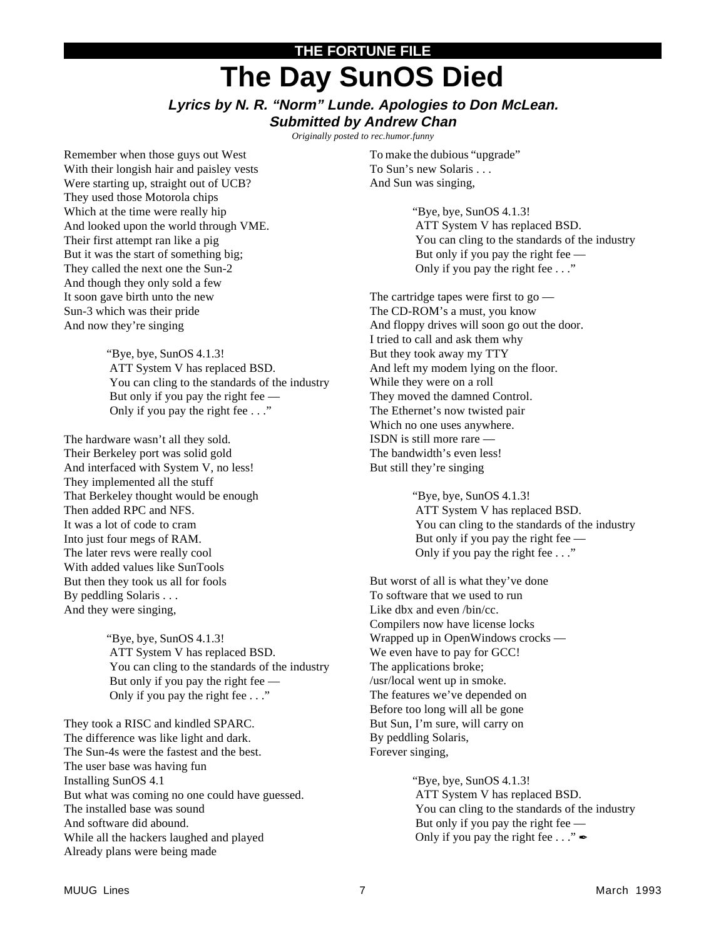## **THE FORTUNE FILE The Day SunOS Died**

#### **Lyrics by N. R. "Norm" Lunde. Apologies to Don McLean. Submitted by Andrew Chan**

*Originally posted to rec.humor.funny*

Remember when those guys out West With their longish hair and paisley vests Were starting up, straight out of UCB? They used those Motorola chips Which at the time were really hip And looked upon the world through VME. Their first attempt ran like a pig But it was the start of something big; They called the next one the Sun-2 And though they only sold a few It soon gave birth unto the new Sun-3 which was their pride And now they're singing

> "Bye, bye, SunOS 4.1.3! ATT System V has replaced BSD. You can cling to the standards of the industry But only if you pay the right fee — Only if you pay the right fee . . ."

The hardware wasn't all they sold. Their Berkeley port was solid gold And interfaced with System V, no less! They implemented all the stuff That Berkeley thought would be enough Then added RPC and NFS. It was a lot of code to cram Into just four megs of RAM. The later revs were really cool With added values like SunTools But then they took us all for fools By peddling Solaris . . . And they were singing,

> "Bye, bye, SunOS 4.1.3! ATT System V has replaced BSD. You can cling to the standards of the industry But only if you pay the right fee — Only if you pay the right fee . . ."

They took a RISC and kindled SPARC. The difference was like light and dark. The Sun-4s were the fastest and the best. The user base was having fun Installing SunOS 4.1 But what was coming no one could have guessed. The installed base was sound And software did abound. While all the hackers laughed and played Already plans were being made

To make the dubious "upgrade" To Sun's new Solaris . . . And Sun was singing,

> "Bye, bye, SunOS 4.1.3! ATT System V has replaced BSD. You can cling to the standards of the industry But only if you pay the right fee — Only if you pay the right fee . . ."

The cartridge tapes were first to go — The CD-ROM's a must, you know And floppy drives will soon go out the door. I tried to call and ask them why But they took away my TTY And left my modem lying on the floor. While they were on a roll They moved the damned Control. The Ethernet's now twisted pair Which no one uses anywhere. ISDN is still more rare — The bandwidth's even less! But still they're singing

> "Bye, bye, SunOS 4.1.3! ATT System V has replaced BSD. You can cling to the standards of the industry But only if you pay the right fee — Only if you pay the right fee . . ."

But worst of all is what they've done To software that we used to run Like dbx and even /bin/cc. Compilers now have license locks Wrapped up in OpenWindows crocks — We even have to pay for GCC! The applications broke; /usr/local went up in smoke. The features we've depended on Before too long will all be gone But Sun, I'm sure, will carry on By peddling Solaris, Forever singing,

> "Bye, bye, SunOS 4.1.3! ATT System V has replaced BSD. You can cling to the standards of the industry But only if you pay the right fee — Only if you pay the right fee  $\ldots$ "